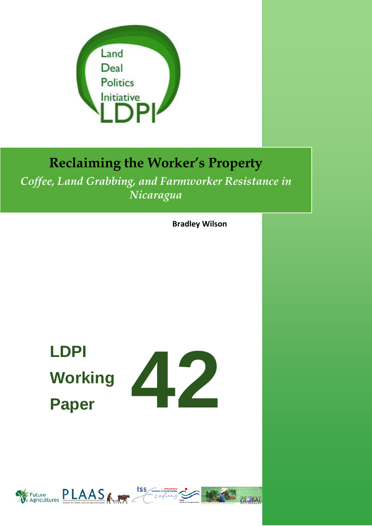

# **Reclaiming the Worker's Property**

*Coffee, Land Grabbing, and Farmworker Resistance in Nicaragua*

**Bradley Wilson**

# **LDPI Working Paper**



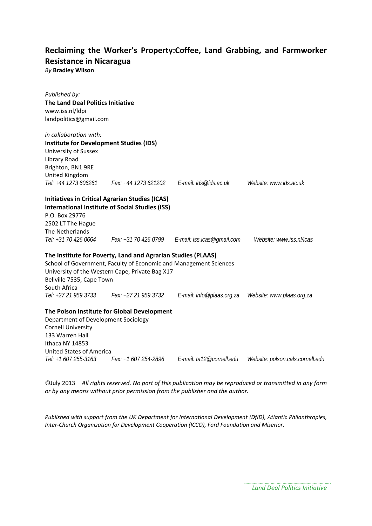# **Reclaiming the Worker's Property:Coffee, Land Grabbing, and Farmworker Resistance in Nicaragua**

*By* **Bradley Wilson**

| Published by:<br><b>The Land Deal Politics Initiative</b><br>www.iss.nl/ldpi<br>landpolitics@gmail.com                                                                                                                                                    |                                               |                          |                                                         |
|-----------------------------------------------------------------------------------------------------------------------------------------------------------------------------------------------------------------------------------------------------------|-----------------------------------------------|--------------------------|---------------------------------------------------------|
| in collaboration with:<br><b>Institute for Development Studies (IDS)</b><br>University of Sussex<br>Library Road<br>Brighton, BN1 9RE<br>United Kingdom<br>Tel: +44 1273 606261                                                                           | Fax: +44 1273 621202    E-mail: ids@ids.ac.uk |                          | Website: www.ids.ac.uk                                  |
| <b>Initiatives in Critical Agrarian Studies (ICAS)</b><br><b>International Institute of Social Studies (ISS)</b><br>P.O. Box 29776<br>2502 LT The Hague<br>The Netherlands<br>Tel: +31 70 426 0664                                                        |                                               |                          | Website: www.iss.nl/icas                                |
| The Institute for Poverty, Land and Agrarian Studies (PLAAS)<br>School of Government, Faculty of Economic and Management Sciences<br>University of the Western Cape, Private Bag X17<br>Bellville 7535, Cape Town<br>South Africa<br>Tel: +27 21 959 3733 | Fax: +27 21 959 3732                          |                          | E-mail: info@plaas.org.za     Website: www.plaas.org.za |
| The Polson Institute for Global Development<br>Department of Development Sociology<br><b>Cornell University</b><br>133 Warren Hall<br>Ithaca NY 14853<br><b>United States of America</b><br>Tel: +1 607 255-3163                                          | Fax: +1 607 254-2896                          | E-mail: ta12@cornell.edu | Website: polson.cals.cornell.edu                        |

©July 2013 *All rights reserved. No part of this publication may be reproduced or transmitted in any form or by any means without prior permission from the publisher and the author.*

*Published with support from the UK Department for International Development (DfID), Atlantic Philanthropies, Inter-Church Organization for Development Cooperation (ICCO), Ford Foundation and Miserior.*

> *Land Deal Politics Initiative*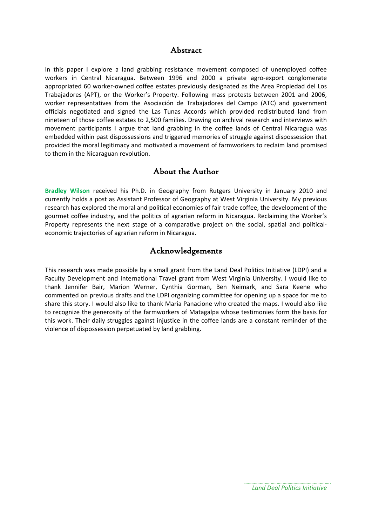### Abstract

In this paper I explore a land grabbing resistance movement composed of unemployed coffee workers in Central Nicaragua. Between 1996 and 2000 a private agro-export conglomerate appropriated 60 worker-owned coffee estates previously designated as the Area Propiedad del Los Trabajadores (APT), or the Worker's Property. Following mass protests between 2001 and 2006, worker representatives from the Asociación de Trabajadores del Campo (ATC) and government officials negotiated and signed the Las Tunas Accords which provided redistributed land from nineteen of those coffee estates to 2,500 families. Drawing on archival research and interviews with movement participants I argue that land grabbing in the coffee lands of Central Nicaragua was embedded within past dispossessions and triggered memories of struggle against dispossession that provided the moral legitimacy and motivated a movement of farmworkers to reclaim land promised to them in the Nicaraguan revolution.

#### About the Author

**Bradley Wilson** received his Ph.D. in Geography from Rutgers University in January 2010 and currently holds a post as Assistant Professor of Geography at West Virginia University. My previous research has explored the moral and political economies of fair trade coffee, the development of the gourmet coffee industry, and the politics of agrarian reform in Nicaragua. Reclaiming the Worker's Property represents the next stage of a comparative project on the social, spatial and politicaleconomic trajectories of agrarian reform in Nicaragua.

## Acknowledgements

This research was made possible by a small grant from the Land Deal Politics Initiative (LDPI) and a Faculty Development and International Travel grant from West Virginia University. I would like to thank Jennifer Bair, Marion Werner, Cynthia Gorman, Ben Neimark, and Sara Keene who commented on previous drafts and the LDPI organizing committee for opening up a space for me to share this story. I would also like to thank Maria Panacione who created the maps. I would also like to recognize the generosity of the farmworkers of Matagalpa whose testimonies form the basis for this work. Their daily struggles against injustice in the coffee lands are a constant reminder of the violence of dispossession perpetuated by land grabbing.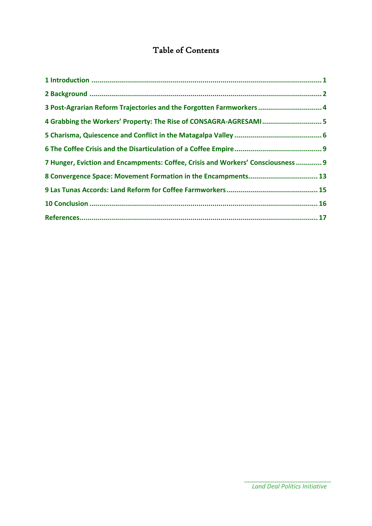## Table of Contents

| 3 Post-Agrarian Reform Trajectories and the Forgotten Farmworkers  4             |  |
|----------------------------------------------------------------------------------|--|
| 4 Grabbing the Workers' Property: The Rise of CONSAGRA-AGRESAMI 5                |  |
|                                                                                  |  |
|                                                                                  |  |
| 7 Hunger, Eviction and Encampments: Coffee, Crisis and Workers' Consciousness  9 |  |
| 8 Convergence Space: Movement Formation in the Encampments 13                    |  |
|                                                                                  |  |
|                                                                                  |  |
|                                                                                  |  |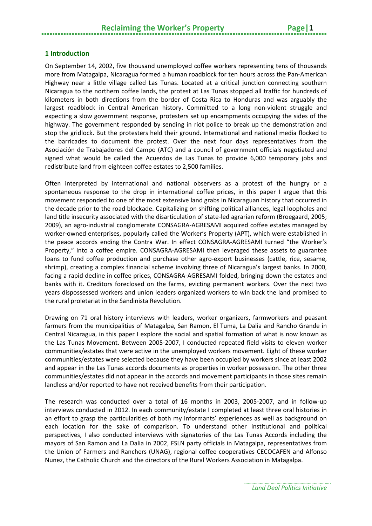#### <span id="page-4-0"></span>**1 Introduction**

On September 14, 2002, five thousand unemployed coffee workers representing tens of thousands more from Matagalpa, Nicaragua formed a human roadblock for ten hours across the Pan-American Highway near a little village called Las Tunas. Located at a critical junction connecting southern Nicaragua to the northern coffee lands, the protest at Las Tunas stopped all traffic for hundreds of kilometers in both directions from the border of Costa Rica to Honduras and was arguably the largest roadblock in Central American history. Committed to a long non-violent struggle and expecting a slow government response, protesters set up encampments occupying the sides of the highway. The government responded by sending in riot police to break up the demonstration and stop the gridlock. But the protesters held their ground. International and national media flocked to the barricades to document the protest. Over the next four days representatives from the Asociación de Trabajadores del Campo (ATC) and a council of government officials negotiated and signed what would be called the Acuerdos de Las Tunas to provide 6,000 temporary jobs and redistribute land from eighteen coffee estates to 2,500 families.

Often interpreted by international and national observers as a protest of the hungry or a spontaneous response to the drop in international coffee prices, in this paper I argue that this movement responded to one of the most extensive land grabs in Nicaraguan history that occurred in the decade prior to the road blockade. Capitalizing on shifting political alliances, legal loopholes and land title insecurity associated with the disarticulation of state-led agrarian reform (Broegaard, 2005; 2009), an agro-industrial conglomerate CONSAGRA-AGRESAMI acquired coffee estates managed by worker-owned enterprises, popularly called the Worker's Property (APT), which were established in the peace accords ending the Contra War. In effect CONSAGRA-AGRESAMI turned "the Worker's Property," into a coffee empire. CONSAGRA-AGRESAMI then leveraged these assets to guarantee loans to fund coffee production and purchase other agro-export businesses (cattle, rice, sesame, shrimp), creating a complex financial scheme involving three of Nicaragua's largest banks. In 2000, facing a rapid decline in coffee prices, CONSAGRA-AGRESAMI folded, bringing down the estates and banks with it. Creditors foreclosed on the farms, evicting permanent workers. Over the next two years dispossessed workers and union leaders organized workers to win back the land promised to the rural proletariat in the Sandinista Revolution.

Drawing on 71 oral history interviews with leaders, worker organizers, farmworkers and peasant farmers from the municipalities of Matagalpa, San Ramon, El Tuma, La Dalia and Rancho Grande in Central Nicaragua, in this paper I explore the social and spatial formation of what is now known as the Las Tunas Movement. Between 2005-2007, I conducted repeated field visits to eleven worker communities/estates that were active in the unemployed workers movement. Eight of these worker communities/estates were selected because they have been occupied by workers since at least 2002 and appear in the Las Tunas accords documents as properties in worker possession. The other three communities/estates did not appear in the accords and movement participants in those sites remain landless and/or reported to have not received benefits from their participation.

The research was conducted over a total of 16 months in 2003, 2005-2007, and in follow-up interviews conducted in 2012. In each community/estate I completed at least three oral histories in an effort to grasp the particularities of both my informants' experiences as well as background on each location for the sake of comparison. To understand other institutional and political perspectives, I also conducted interviews with signatories of the Las Tunas Accords including the mayors of San Ramon and La Dalia in 2002, FSLN party officials in Matagalpa, representatives from the Union of Farmers and Ranchers (UNAG), regional coffee cooperatives CECOCAFEN and Alfonso Nunez, the Catholic Church and the directors of the Rural Workers Association in Matagalpa.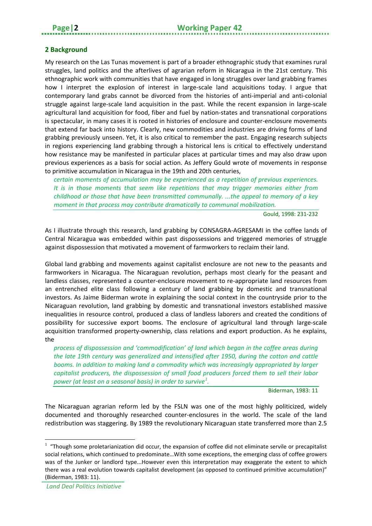#### <span id="page-5-0"></span>**2 Background**

My research on the Las Tunas movement is part of a broader ethnographic study that examines rural struggles, land politics and the afterlives of agrarian reform in Nicaragua in the 21st century. This ethnographic work with communities that have engaged in long struggles over land grabbing frames how I interpret the explosion of interest in large-scale land acquisitions today. I argue that contemporary land grabs cannot be divorced from the histories of anti-imperial and anti-colonial struggle against large-scale land acquisition in the past. While the recent expansion in large-scale agricultural land acquisition for food, fiber and fuel by nation-states and transnational corporations is spectacular, in many cases it is rooted in histories of enclosure and counter-enclosure movements that extend far back into history. Clearly, new commodities and industries are driving forms of land grabbing previously unseen. Yet, it is also critical to remember the past. Engaging research subjects in regions experiencing land grabbing through a historical lens is critical to effectively understand how resistance may be manifested in particular places at particular times and may also draw upon previous experiences as a basis for social action. As Jeffery Gould wrote of movements in response to primitive accumulation in Nicaragua in the 19th and 20th centuries,

*certain moments of accumulation may be experienced as a repetition of previous experiences. It is in those moments that seem like repetitions that may trigger memories either from childhood or those that have been transmitted communally. ...the appeal to memory of a key moment in that process may contribute dramatically to communal mobilization.*

Gould, 1998: 231-232

As I illustrate through this research, land grabbing by CONSAGRA-AGRESAMI in the coffee lands of Central Nicaragua was embedded within past dispossessions and triggered memories of struggle against dispossession that motivated a movement of farmworkers to reclaim their land.

Global land grabbing and movements against capitalist enclosure are not new to the peasants and farmworkers in Nicaragua. The Nicaraguan revolution, perhaps most clearly for the peasant and landless classes, represented a counter-enclosure movement to re-appropriate land resources from an entrenched elite class following a century of land grabbing by domestic and transnational investors. As Jaime Biderman wrote in explaining the social context in the countryside prior to the Nicaraguan revolution, land grabbing by domestic and transnational investors established massive inequalities in resource control, produced a class of landless laborers and created the conditions of possibility for successive export booms. The enclosure of agricultural land through large-scale acquisition transformed property-ownership, class relations and export production. As he explains, the

*process of dispossession and 'commodification' of land which began in the coffee areas during the late 19th century was generalized and intensified after 1950, during the cotton and cattle booms. In addition to making land a commodity which was increasingly appropriated by larger capitalist producers, the dispossession of small food producers forced them to sell their labor power (at least on a seasonal basis) in order to survive[1](#page-5-1) .*

Biderman, 1983: 11

The Nicaraguan agrarian reform led by the FSLN was one of the most highly politicized, widely documented and thoroughly researched counter-enclosures in the world. The scale of the land redistribution was staggering. By 1989 the revolutionary Nicaraguan state transferred more than 2.5

 $\overline{a}$ 

<span id="page-5-1"></span> $1$  "Though some proletarianization did occur, the expansion of coffee did not eliminate servile or precapitalist social relations, which continued to predominate…With some exceptions, the emerging class of coffee growers was of the Junker or landlord type...However even this interpretation may exaggerate the extent to which there was a real evolution towards capitalist development (as opposed to continued primitive accumulation)" (Biderman, 1983: 11).

*Land Deal Politics Initiative*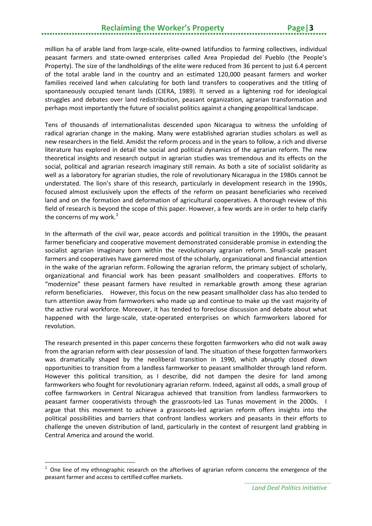## **Reclaiming the Worker's Property Page|3**

million ha of arable land from large-scale, elite-owned latifundios to farming collectives, individual peasant farmers and state-owned enterprises called Area Propiedad del Pueblo (the People's Property). The size of the landholdings of the elite were reduced from 36 percent to just 6.4 percent of the total arable land in the country and an estimated 120,000 peasant farmers and worker families received land when calculating for both land transfers to cooperatives and the titling of spontaneously occupied tenant lands (CIERA, 1989). It served as a lightening rod for ideological struggles and debates over land redistribution, peasant organization, agrarian transformation and perhaps most importantly the future of socialist politics against a changing geopolitical landscape.

Tens of thousands of internationalistas descended upon Nicaragua to witness the unfolding of radical agrarian change in the making. Many were established agrarian studies scholars as well as new researchers in the field. Amidst the reform process and in the years to follow, a rich and diverse literature has explored in detail the social and political dynamics of the agrarian reform. The new theoretical insights and research output in agrarian studies was tremendous and its effects on the social, political and agrarian research imaginary still remain. As both a site of socialist solidarity as well as a laboratory for agrarian studies, the role of revolutionary Nicaragua in the 1980s cannot be understated. The lion's share of this research, particularly in development research in the 1990s, focused almost exclusively upon the effects of the reform on peasant beneficiaries who received land and on the formation and deformation of agricultural cooperatives. A thorough review of this field of research is beyond the scope of this paper. However, a few words are in order to help clarify the concerns of my work.<sup>[2](#page-6-0)</sup>

In the aftermath of the civil war, peace accords and political transition in the 1990s, the peasant farmer beneficiary and cooperative movement demonstrated considerable promise in extending the socialist agrarian imaginary born within the revolutionary agrarian reform. Small-scale peasant farmers and cooperatives have garnered most of the scholarly, organizational and financial attention in the wake of the agrarian reform. Following the agrarian reform, the primary subject of scholarly, organizational and financial work has been peasant smallholders and cooperatives. Efforts to "modernize" these peasant farmers have resulted in remarkable growth among these agrarian reform beneficiaries. However, this focus on the new peasant smallholder class has also tended to turn attention away from farmworkers who made up and continue to make up the vast majority of the active rural workforce. Moreover, it has tended to foreclose discussion and debate about what happened with the large-scale, state-operated enterprises on which farmworkers labored for revolution.

The research presented in this paper concerns these forgotten farmworkers who did not walk away from the agrarian reform with clear possession of land. The situation of these forgotten farmworkers was dramatically shaped by the neoliberal transition in 1990, which abruptly closed down opportunities to transition from a landless farmworker to peasant smallholder through land reform. However this political transition, as I describe, did not dampen the desire for land among farmworkers who fought for revolutionary agrarian reform. Indeed, against all odds, a small group of coffee farmworkers in Central Nicaragua achieved that transition from landless farmworkers to peasant farmer cooperativists through the grassroots-led Las Tunas movement in the 2000s. I argue that this movement to achieve a grassroots-led agrarian reform offers insights into the political possibilities and barriers that confront landless workers and peasants in their efforts to challenge the uneven distribution of land, particularly in the context of resurgent land grabbing in Central America and around the world.

 $\overline{a}$ 

<span id="page-6-0"></span> $2$  One line of my ethnographic research on the afterlives of agrarian reform concerns the emergence of the peasant farmer and access to certified coffee markets.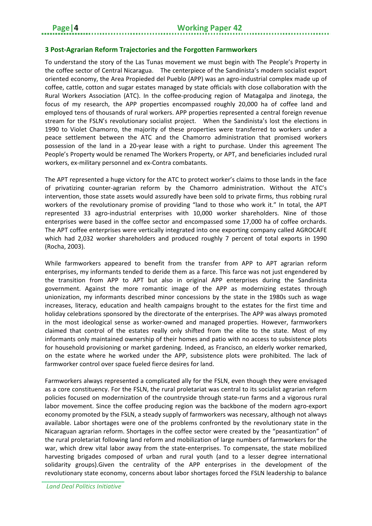#### <span id="page-7-0"></span>**3 Post-Agrarian Reform Trajectories and the Forgotten Farmworkers**

To understand the story of the Las Tunas movement we must begin with The People's Property in the coffee sector of Central Nicaragua. The centerpiece of the Sandinista's modern socialist export oriented economy, the Area Propieded del Pueblo (APP) was an agro-industrial complex made up of coffee, cattle, cotton and sugar estates managed by state officials with close collaboration with the Rural Workers Association (ATC). In the coffee-producing region of Matagalpa and Jinotega, the focus of my research, the APP properties encompassed roughly 20,000 ha of coffee land and employed tens of thousands of rural workers. APP properties represented a central foreign revenue stream for the FSLN's revolutionary socialist project. When the Sandinista's lost the elections in 1990 to Violet Chamorro, the majority of these properties were transferred to workers under a peace settlement between the ATC and the Chamorro administration that promised workers possession of the land in a 20-year lease with a right to purchase. Under this agreement The People's Property would be renamed The Workers Property, or APT, and beneficiaries included rural workers, ex-military personnel and ex-Contra combatants.

The APT represented a huge victory for the ATC to protect worker's claims to those lands in the face of privatizing counter-agrarian reform by the Chamorro administration. Without the ATC's intervention, those state assets would assuredly have been sold to private firms, thus robbing rural workers of the revolutionary promise of providing "land to those who work it." In total, the APT represented 33 agro-industrial enterprises with 10,000 worker shareholders. Nine of those enterprises were based in the coffee sector and encompassed some 17,000 ha of coffee orchards. The APT coffee enterprises were vertically integrated into one exporting company called AGROCAFE which had 2,032 worker shareholders and produced roughly 7 percent of total exports in 1990 (Rocha, 2003).

While farmworkers appeared to benefit from the transfer from APP to APT agrarian reform enterprises, my informants tended to deride them as a farce. This farce was not just engendered by the transition from APP to APT but also in original APP enterprises during the Sandinista government. Against the more romantic image of the APP as modernizing estates through unionization, my informants described minor concessions by the state in the 1980s such as wage increases, literacy, education and health campaigns brought to the estates for the first time and holiday celebrations sponsored by the directorate of the enterprises. The APP was always promoted in the most ideological sense as worker-owned and managed properties. However, farmworkers claimed that control of the estates really only shifted from the elite to the state. Most of my informants only maintained ownership of their homes and patio with no access to subsistence plots for household provisioning or market gardening. Indeed, as Francisco, an elderly worker remarked, on the estate where he worked under the APP, subsistence plots were prohibited. The lack of farmworker control over space fueled fierce desires for land.

Farmworkers always represented a complicated ally for the FSLN, even though they were envisaged as a core constituency. For the FSLN, the rural proletariat was central to its socialist agrarian reform policies focused on modernization of the countryside through state-run farms and a vigorous rural labor movement. Since the coffee producing region was the backbone of the modern agro-export economy promoted by the FSLN, a steady supply of farmworkers was necessary, although not always available. Labor shortages were one of the problems confronted by the revolutionary state in the Nicaraguan agrarian reform. Shortages in the coffee sector were created by the "peasantization" of the rural proletariat following land reform and mobilization of large numbers of farmworkers for the war, which drew vital labor away from the state-enterprises. To compensate, the state mobilized harvesting brigades composed of urban and rural youth (and to a lesser degree international solidarity groups).Given the centrality of the APP enterprises in the development of the revolutionary state economy, concerns about labor shortages forced the FSLN leadership to balance

*Land Deal Politics Initiative*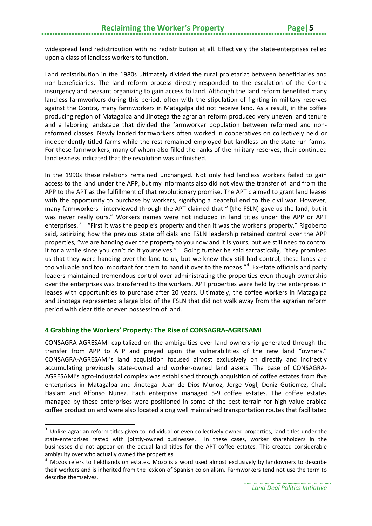widespread land redistribution with no redistribution at all. Effectively the state-enterprises relied upon a class of landless workers to function.

Land redistribution in the 1980s ultimately divided the rural proletariat between beneficiaries and non-beneficiaries. The land reform process directly responded to the escalation of the Contra insurgency and peasant organizing to gain access to land. Although the land reform benefited many landless farmworkers during this period, often with the stipulation of fighting in military reserves against the Contra, many farmworkers in Matagalpa did not receive land. As a result, in the coffee producing region of Matagalpa and Jinotega the agrarian reform produced very uneven land tenure and a laboring landscape that divided the farmworker population between reformed and nonreformed classes. Newly landed farmworkers often worked in cooperatives on collectively held or independently titled farms while the rest remained employed but landless on the state-run farms. For these farmworkers, many of whom also filled the ranks of the military reserves, their continued landlessness indicated that the revolution was unfinished.

In the 1990s these relations remained unchanged. Not only had landless workers failed to gain access to the land under the APP, but my informants also did not view the transfer of land from the APP to the APT as the fulfillment of that revolutionary promise. The APT claimed to grant land leases with the opportunity to purchase by workers, signifying a peaceful end to the civil war. However, many farmworkers I interviewed through the APT claimed that " [the FSLN] gave us the land, but it was never really ours." Workers names were not included in land titles under the APP or APT enterprises.<sup>[3](#page-8-1)</sup> "First it was the people's property and then it was the worker's property," Rigoberto said, satirizing how the previous state officials and FSLN leadership retained control over the APP properties, "we are handing over the property to you now and it is yours, but we still need to control it for a while since you can't do it yourselves." Going further he said sarcastically, "they promised us that they were handing over the land to us, but we knew they still had control, these lands are too valuable and too important for them to hand it over to the mozos."<sup>[4](#page-8-2)</sup> Ex-state officials and party leaders maintained tremendous control over administrating the properties even though ownership over the enterprises was transferred to the workers. APT properties were held by the enterprises in leases with opportunities to purchase after 20 years. Ultimately, the coffee workers in Matagalpa and Jinotega represented a large bloc of the FSLN that did not walk away from the agrarian reform period with clear title or even possession of land.

#### <span id="page-8-0"></span>**4 Grabbing the Workers' Property: The Rise of CONSAGRA-AGRESAMI**

 $\overline{a}$ 

CONSAGRA-AGRESAMI capitalized on the ambiguities over land ownership generated through the transfer from APP to ATP and preyed upon the vulnerabilities of the new land "owners." CONSAGRA-AGRESAMI's land acquisition focused almost exclusively on directly and indirectly accumulating previously state-owned and worker-owned land assets. The base of CONSAGRA-AGRESAMI's agro-industrial complex was established through acquisition of coffee estates from five enterprises in Matagalpa and Jinotega: Juan de Dios Munoz, Jorge Vogl, Deniz Gutierrez, Chale Haslam and Alfonso Nunez. Each enterprise managed 5-9 coffee estates. The coffee estates managed by these enterprises were positioned in some of the best terrain for high value arabica coffee production and were also located along well maintained transportation routes that facilitated

<span id="page-8-1"></span><sup>&</sup>lt;sup>3</sup> Unlike agrarian reform titles given to individual or even collectively owned properties, land titles under the state-enterprises rested with jointly-owned businesses. In these cases, worker shareholders in the businesses did not appear on the actual land titles for the APT coffee estates. This created considerable ambiguity over who actually owned the properties.

<span id="page-8-2"></span> $<sup>4</sup>$  Mozos refers to fieldhands on estates. Mozo is a word used almost exclusively by landowners to describe</sup> their workers and is inherited from the lexicon of Spanish colonialism. Farmworkers tend not use the term to describe themselves.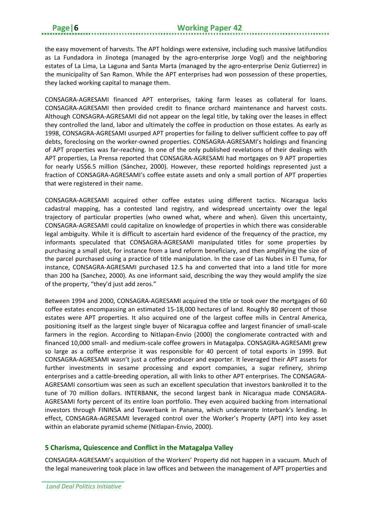the easy movement of harvests. The APT holdings were extensive, including such massive latifundios as La Fundadora in Jinotega (managed by the agro-enterprise Jorge Vogl) and the neighboring estates of La Lima, La Laguna and Santa Marta (managed by the agro-enterprise Deniz Gutierrez) in the municipality of San Ramon. While the APT enterprises had won possession of these properties, they lacked working capital to manage them.

CONSAGRA-AGRESAMI financed APT enterprises, taking farm leases as collateral for loans. CONSAGRA-AGRESAMI then provided credit to finance orchard maintenance and harvest costs. Although CONSAGRA-AGRESAMI did not appear on the legal title, by taking over the leases in effect they controlled the land, labor and ultimately the coffee in production on those estates. As early as 1998, CONSAGRA-AGRESAMI usurped APT properties for failing to deliver sufficient coffee to pay off debts, foreclosing on the worker-owned properties. CONSAGRA-AGRESAMI's holdings and financing of APT properties was far-reaching. In one of the only published revelations of their dealings with APT properties, La Prensa reported that CONSAGRA-AGRESAMI had mortgages on 9 APT properties for nearly US\$6.5 million (Sánchez, 2000). However, these reported holdings represented just a fraction of CONSAGRA-AGRESAMI's coffee estate assets and only a small portion of APT properties that were registered in their name.

CONSAGRA-AGRESAMI acquired other coffee estates using different tactics. Nicaragua lacks cadastral mapping, has a contested land registry, and widespread uncertainty over the legal trajectory of particular properties (who owned what, where and when). Given this uncertainty, CONSAGRA-AGRESAMI could capitalize on knowledge of properties in which there was considerable legal ambiguity. While it is difficult to ascertain hard evidence of the frequency of the practice, my informants speculated that CONSAGRA-AGRESAMI manipulated titles for some properties by purchasing a small plot, for instance from a land reform beneficiary, and then amplifying the size of the parcel purchased using a practice of title manipulation. In the case of Las Nubes in El Tuma, for instance, CONSAGRA-AGRESAMI purchased 12.5 ha and converted that into a land title for more than 200 ha (Sanchez, 2000). As one informant said, describing the way they would amplify the size of the property, "they'd just add zeros."

Between 1994 and 2000, CONSAGRA-AGRESAMI acquired the title or took over the mortgages of 60 coffee estates encompassing an estimated 15-18,000 hectares of land. Roughly 80 percent of those estates were APT properties. It also acquired one of the largest coffee mills in Central America, positioning itself as the largest single buyer of Nicaragua coffee and largest financier of small-scale farmers in the region. According to Nitlapan-Envio (2000) the conglomerate contracted with and financed 10,000 small- and medium-scale coffee growers in Matagalpa. CONSAGRA-AGRESAMI grew so large as a coffee enterprise it was responsible for 40 percent of total exports in 1999. But CONSAGRA-AGRESAMI wasn't just a coffee producer and exporter. It leveraged their APT assets for further investments in sesame processing and export companies, a sugar refinery, shrimp enterprises and a cattle-breeding operation, all with links to other APT enterprises. The CONSAGRA-AGRESAMI consortium was seen as such an excellent speculation that investors bankrolled it to the tune of 70 million dollars. INTERBANK, the second largest bank in Nicaragua made CONSAGRA-AGRESAMI forty percent of its entire loan portfolio. They even acquired backing from international investors through FININSA and Towerbank in Panama, which underwrote Interbank's lending. In effect, CONSAGRA-AGRESAMI leveraged control over the Worker's Property (APT) into key asset within an elaborate pyramid scheme (Nitlapan-Envio, 2000).

#### <span id="page-9-0"></span>**5 Charisma, Quiescence and Conflict in the Matagalpa Valley**

CONSAGRA-AGRESAMI's acquisition of the Workers' Property did not happen in a vacuum. Much of the legal maneuvering took place in law offices and between the management of APT properties and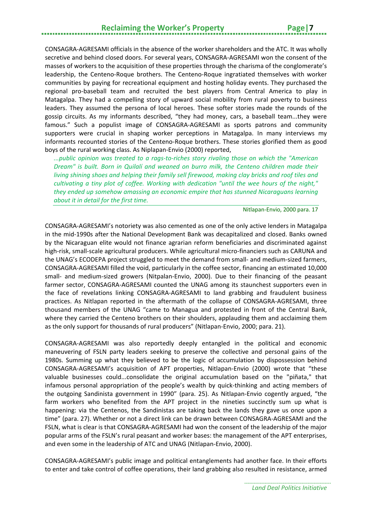CONSAGRA-AGRESAMI officials in the absence of the worker shareholders and the ATC. It was wholly secretive and behind closed doors. For several years, CONSAGRA-AGRESAMI won the consent of the masses of workers to the acquisition of these properties through the charisma of the conglomerate's leadership, the Centeno-Roque brothers. The Centeno-Roque ingratiated themselves with worker communities by paying for recreational equipment and hosting holiday events. They purchased the regional pro-baseball team and recruited the best players from Central America to play in Matagalpa. They had a compelling story of upward social mobility from rural poverty to business leaders. They assumed the persona of local heroes. These softer stories made the rounds of the gossip circuits. As my informants described, "they had money, cars, a baseball team...they were famous." Such a populist image of CONSAGRA-AGRESAMI as sports patrons and community supporters were crucial in shaping worker perceptions in Matagalpa. In many interviews my informants recounted stories of the Centeno-Roque brothers. These stories glorified them as good boys of the rural working class. As Niplapan-Envio (2000) reported,

*...public opinion was treated to a rags-to-riches story rivaling those on which the "American Dream" is built. Born in Quilalí and weaned on burro milk, the Centeno children made their living shining shoes and helping their family sell firewood, making clay bricks and roof tiles and cultivating a tiny plot of coffee. Working with dedication "until the wee hours of the night," they ended up somehow amassing an economic empire that has stunned Nicaraguans learning about it in detail for the first time.*

#### Nitlapan-Envio, 2000 para. 17

CONSAGRA-AGRESAMI's notoriety was also cemented as one of the only active lenders in Matagalpa in the mid-1990s after the National Development Bank was decapitalized and closed. Banks owned by the Nicaraguan elite would not finance agrarian reform beneficiaries and discriminated against high-risk, small-scale agricultural producers. While agricultural micro-financiers such as CARUNA and the UNAG's ECODEPA project struggled to meet the demand from small- and medium-sized farmers, CONSAGRA-AGRESAMI filled the void, particularly in the coffee sector, financing an estimated 10,000 small- and medium-sized growers (Nitpalan-Envio, 2000). Due to their financing of the peasant farmer sector, CONSAGRA-AGRESAMI counted the UNAG among its staunchest supporters even in the face of revelations linking CONSAGRA-AGRESAMI to land grabbing and fraudulent business practices. As Nitlapan reported in the aftermath of the collapse of CONSAGRA-AGRESAMI, three thousand members of the UNAG "came to Managua and protested in front of the Central Bank, where they carried the Centeno brothers on their shoulders, applauding them and acclaiming them as the only support for thousands of rural producers" (Nitlapan-Envio, 2000; para. 21).

CONSAGRA-AGRESAMI was also reportedly deeply entangled in the political and economic maneuvering of FSLN party leaders seeking to preserve the collective and personal gains of the 1980s. Summing up what they believed to be the logic of accumulation by dispossession behind CONSAGRA-AGRESAMI's acquisition of APT properties, Nitlapan-Envio (2000) wrote that "these valuable businesses could...consolidate the original accumulation based on the "piñata," that infamous personal appropriation of the people's wealth by quick-thinking and acting members of the outgoing Sandinista government in 1990" (para. 25). As Nitlapan-Envio cogently argued, "the farm workers who benefited from the APT project in the nineties succinctly sum up what is happening: via the Centenos, the Sandinistas are taking back the lands they gave us once upon a time" (para. 27). Whether or not a direct link can be drawn between CONSAGRA-AGRESAMI and the FSLN, what is clear is that CONSAGRA-AGRESAMI had won the consent of the leadership of the major popular arms of the FSLN's rural peasant and worker bases: the management of the APT enterprises, and even some in the leadership of ATC and UNAG (Nitlapan-Envio, 2000).

CONSAGRA-AGRESAMI's public image and political entanglements had another face. In their efforts to enter and take control of coffee operations, their land grabbing also resulted in resistance, armed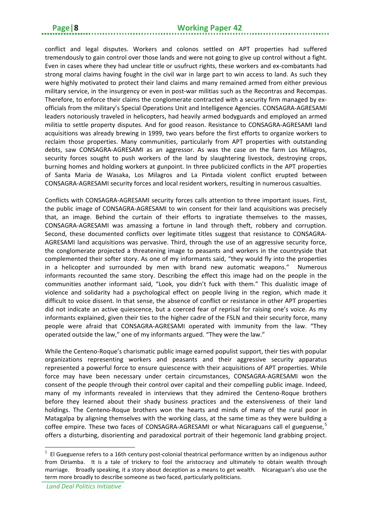conflict and legal disputes. Workers and colonos settled on APT properties had suffered tremendously to gain control over those lands and were not going to give up control without a fight. Even in cases where they had unclear title or usufruct rights, these workers and ex-combatants had strong moral claims having fought in the civil war in large part to win access to land. As such they were highly motivated to protect their land claims and many remained armed from either previous military service, in the insurgency or even in post-war militias such as the Recontras and Recompas. Therefore, to enforce their claims the conglomerate contracted with a security firm managed by exofficials from the military's Special Operations Unit and Intelligence Agencies. CONSAGRA-AGRESAMI leaders notoriously traveled in helicopters, had heavily armed bodyguards and employed an armed militia to settle property disputes. And for good reason. Resistance to CONSAGRA-AGRESAMI land acquisitions was already brewing in 1999, two years before the first efforts to organize workers to reclaim those properties. Many communities, particularly from APT properties with outstanding debts, saw CONSAGRA-AGRESAMI as an aggressor. As was the case on the farm Los Milagros, security forces sought to push workers of the land by slaughtering livestock, destroying crops, burning homes and holding workers at gunpoint. In three publicized conflicts in the APT properties of Santa Maria de Wasaka, Los Milagros and La Pintada violent conflict erupted between CONSAGRA-AGRESAMI security forces and local resident workers, resulting in numerous casualties.

Conflicts with CONSAGRA-AGRESAMI security forces calls attention to three important issues. First, the public image of CONSAGRA-AGRESAMI to win consent for their land acquisitions was precisely that, an image. Behind the curtain of their efforts to ingratiate themselves to the masses, CONSAGRA-AGRESAMI was amassing a fortune in land through theft, robbery and corruption. Second, these documented conflicts over legitimate titles suggest that resistance to CONSAGRA-AGRESAMI land acquisitions was pervasive. Third, through the use of an aggressive security force, the conglomerate projected a threatening image to peasants and workers in the countryside that complemented their softer story. As one of my informants said, "they would fly into the properties in a helicopter and surrounded by men with brand new automatic weapons." Numerous informants recounted the same story. Describing the effect this image had on the people in the communities another informant said, "Look, you didn't fuck with them." This dualistic image of violence and solidarity had a psychological effect on people living in the region, which made it difficult to voice dissent. In that sense, the absence of conflict or resistance in other APT properties did not indicate an active quiescence, but a coerced fear of reprisal for raising one's voice. As my informants explained, given their ties to the higher cadre of the FSLN and their security force, many people were afraid that CONSAGRA-AGRESAMI operated with immunity from the law. "They operated outside the law," one of my informants argued. "They were the law."

While the Centeno-Roque's charismatic public image earned populist support, their ties with popular organizations representing workers and peasants and their aggressive security apparatus represented a powerful force to ensure quiescence with their acquisitions of APT properties. While force may have been necessary under certain circumstances, CONSAGRA-AGRESAMI won the consent of the people through their control over capital and their compelling public image. Indeed, many of my informants revealed in interviews that they admired the Centeno-Roque brothers before they learned about their shady business practices and the extensiveness of their land holdings. The Centeno-Roque brothers won the hearts and minds of many of the rural poor in Matagalpa by aligning themselves with the working class, at the same time as they were building a coffee empire. These two faces of CONSAGRA-AGRESAMI or what Nicaraguans call el gueguense,<sup>[5](#page-11-0)</sup> offers a disturbing, disorienting and paradoxical portrait of their hegemonic land grabbing project.

**.** 

<span id="page-11-0"></span> $5$  El Gueguense refers to a 16th century post-colonial theatrical performance written by an indigenous author from Diriamba. It is a tale of trickery to fool the aristocracy and ultimately to obtain wealth through marriage. Broadly speaking, it a story about deception as a means to get wealth. Nicaraguan's also use the term more broadly to describe someone as two faced, particularly politicians.

*Land Deal Politics Initiative*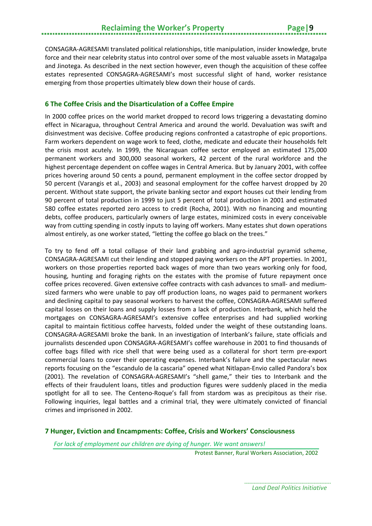CONSAGRA-AGRESAMI translated political relationships, title manipulation, insider knowledge, brute force and their near celebrity status into control over some of the most valuable assets in Matagalpa and Jinotega. As described in the next section however, even though the acquisition of these coffee estates represented CONSAGRA-AGRESAMI's most successful slight of hand, worker resistance emerging from those properties ultimately blew down their house of cards.

#### <span id="page-12-0"></span>**6 The Coffee Crisis and the Disarticulation of a Coffee Empire**

In 2000 coffee prices on the world market dropped to record lows triggering a devastating domino effect in Nicaragua, throughout Central America and around the world. Devaluation was swift and disinvestment was decisive. Coffee producing regions confronted a catastrophe of epic proportions. Farm workers dependent on wage work to feed, clothe, medicate and educate their households felt the crisis most acutely. In 1999, the Nicaraguan coffee sector employed an estimated 175,000 permanent workers and 300,000 seasonal workers, 42 percent of the rural workforce and the highest percentage dependent on coffee wages in Central America. But by January 2001, with coffee prices hovering around 50 cents a pound, permanent employment in the coffee sector dropped by 50 percent (Varangis et al., 2003) and seasonal employment for the coffee harvest dropped by 20 percent. Without state support, the private banking sector and export houses cut their lending from 90 percent of total production in 1999 to just 5 percent of total production in 2001 and estimated 580 coffee estates reported zero access to credit (Rocha, 2001). With no financing and mounting debts, coffee producers, particularly owners of large estates, minimized costs in every conceivable way from cutting spending in costly inputs to laying off workers. Many estates shut down operations almost entirely, as one worker stated, "letting the coffee go black on the trees."

To try to fend off a total collapse of their land grabbing and agro-industrial pyramid scheme, CONSAGRA-AGRESAMI cut their lending and stopped paying workers on the APT properties. In 2001, workers on those properties reported back wages of more than two years working only for food, housing, hunting and foraging rights on the estates with the promise of future repayment once coffee prices recovered. Given extensive coffee contracts with cash advances to small- and mediumsized farmers who were unable to pay off production loans, no wages paid to permanent workers and declining capital to pay seasonal workers to harvest the coffee, CONSAGRA-AGRESAMI suffered capital losses on their loans and supply losses from a lack of production. Interbank, which held the mortgages on CONSAGRA-AGRESAMI's extensive coffee enterprises and had supplied working capital to maintain fictitious coffee harvests, folded under the weight of these outstanding loans. CONSAGRA-AGRESAMI broke the bank. In an investigation of Interbank's failure, state officials and journalists descended upon CONSAGRA-AGRESAMI's coffee warehouse in 2001 to find thousands of coffee bags filled with rice shell that were being used as a collateral for short term pre-export commercial loans to cover their operating expenses. Interbank's failure and the spectacular news reports focusing on the "escandulo de la cascaria" opened what Nitlapan-Envio called Pandora's box (2001). The revelation of CONSAGRA-AGRESAMI's "shell game," their ties to Interbank and the effects of their fraudulent loans, titles and production figures were suddenly placed in the media spotlight for all to see. The Centeno-Roque's fall from stardom was as precipitous as their rise. Following inquiries, legal battles and a criminal trial, they were ultimately convicted of financial crimes and imprisoned in 2002.

#### <span id="page-12-1"></span>**7 Hunger, Eviction and Encampments: Coffee, Crisis and Workers' Consciousness**

*For lack of employment our children are dying of hunger. We want answers!*

Protest Banner, Rural Workers Association, 2002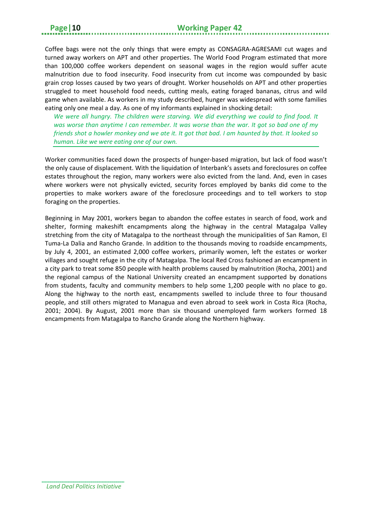Coffee bags were not the only things that were empty as CONSAGRA-AGRESAMI cut wages and turned away workers on APT and other properties. The World Food Program estimated that more than 100,000 coffee workers dependent on seasonal wages in the region would suffer acute malnutrition due to food insecurity. Food insecurity from cut income was compounded by basic grain crop losses caused by two years of drought. Worker households on APT and other properties struggled to meet household food needs, cutting meals, eating foraged bananas, citrus and wild game when available. As workers in my study described, hunger was widespread with some families eating only one meal a day. As one of my informants explained in shocking detail:

*We were all hungry. The children were starving. We did everything we could to find food. It was worse than anytime I can remember. It was worse than the war. It got so bad one of my friends shot a howler monkey and we ate it. It got that bad. I am haunted by that. It looked so human. Like we were eating one of our own.*

Worker communities faced down the prospects of hunger-based migration, but lack of food wasn't the only cause of displacement. With the liquidation of Interbank's assets and foreclosures on coffee estates throughout the region, many workers were also evicted from the land. And, even in cases where workers were not physically evicted, security forces employed by banks did come to the properties to make workers aware of the foreclosure proceedings and to tell workers to stop foraging on the properties.

Beginning in May 2001, workers began to abandon the coffee estates in search of food, work and shelter, forming makeshift encampments along the highway in the central Matagalpa Valley stretching from the city of Matagalpa to the northeast through the municipalities of San Ramon, El Tuma-La Dalia and Rancho Grande. In addition to the thousands moving to roadside encampments, by July 4, 2001, an estimated 2,000 coffee workers, primarily women, left the estates or worker villages and sought refuge in the city of Matagalpa. The local Red Cross fashioned an encampment in a city park to treat some 850 people with health problems caused by malnutrition (Rocha, 2001) and the regional campus of the National University created an encampment supported by donations from students, faculty and community members to help some 1,200 people with no place to go. Along the highway to the north east, encampments swelled to include three to four thousand people, and still others migrated to Managua and even abroad to seek work in Costa Rica (Rocha, 2001; 2004). By August, 2001 more than six thousand unemployed farm workers formed 18 encampments from Matagalpa to Rancho Grande along the Northern highway.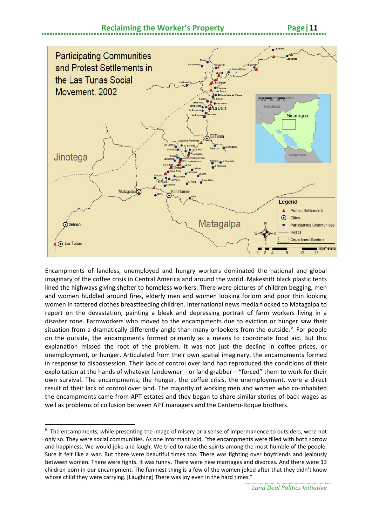



Encampments of landless, unemployed and hungry workers dominated the national and global imaginary of the coffee crisis in Central America and around the world. Makeshift black plastic tents lined the highways giving shelter to homeless workers. There were pictures of children begging, men and women huddled around fires, elderly men and women looking forlorn and poor thin looking women in tattered clothes breastfeeding children. International news media flocked to Matagalpa to report on the devastation, painting a bleak and depressing portrait of farm workers living in a disaster zone. Farmworkers who moved to the encampments due to eviction or hunger saw their situation from a dramatically differently angle than many onlookers from the outside.<sup>[6](#page-14-0)</sup> For people on the outside, the encampments formed primarily as a means to coordinate food aid. But this explanation missed the root of the problem. It was not just the decline in coffee prices, or unemployment, or hunger. Articulated from their own spatial imaginary, the encampments formed in response to dispossession. Their lack of control over land had reproduced the conditions of their exploitation at the hands of whatever landowner – or land grabber – "forced" them to work for their own survival. The encampments, the hunger, the coffee crisis, the unemployment, were a direct result of their lack of control over land. The majority of working men and women who co-inhabited the encampments came from APT estates and they began to share similar stories of back wages as well as problems of collusion between APT managers and the Centeno-Roque brothers.

 $\overline{a}$ 

<span id="page-14-0"></span> $6$  The encampments, while presenting the image of misery or a sense of impermanence to outsiders, were not only so. They were social communities. As one informant said, "the encampments were filled with both sorrow and happiness. We would joke and laugh. We tried to raise the spirits among the most humble of the people. Sure it felt like a war. But there were beautiful times too. There was fighting over boyfriends and jealously between women. There were fights. It was funny. There were new marriages and divorces. And there were 13 children born in our encampment. The funniest thing is a few of the women joked after that they didn't know whose child they were carrying. [Laughing] There was joy even in the hard times."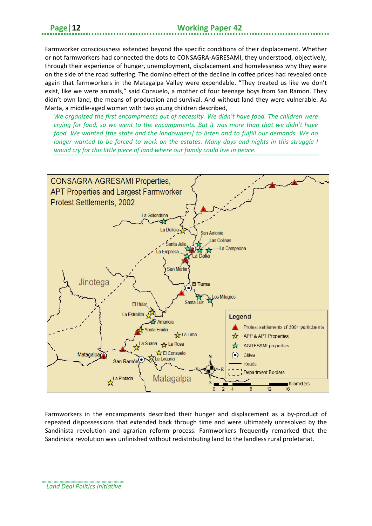Farmworker consciousness extended beyond the specific conditions of their displacement. Whether or not farmworkers had connected the dots to CONSAGRA-AGRESAMI, they understood, objectively, through their experience of hunger, unemployment, displacement and homelessness why they were on the side of the road suffering. The domino effect of the decline in coffee prices had revealed once again that farmworkers in the Matagalpa Valley were expendable. "They treated us like we don't exist, like we were animals," said Consuelo, a mother of four teenage boys from San Ramon. They didn't own land, the means of production and survival. And without land they were vulnerable. As Marta, a middle-aged woman with two young children described,

*We organized the first encampments out of necessity. We didn't have food. The children were crying for food, so we went to the encampments. But it was more than that we didn't have food. We wanted [the state and the landowners] to listen and to fulfill our demands. We no longer wanted to be forced to work on the estates. Many days and nights in this struggle I would cry for this little piece of land where our family could live in peace.*



Farmworkers in the encampments described their hunger and displacement as a by-product of repeated dispossessions that extended back through time and were ultimately unresolved by the Sandinista revolution and agrarian reform process. Farmworkers frequently remarked that the Sandinista revolution was unfinished without redistributing land to the landless rural proletariat.

*Land Deal Politics Initiative*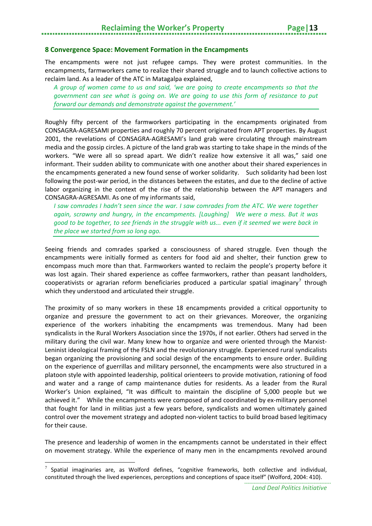#### <span id="page-16-0"></span>**8 Convergence Space: Movement Formation in the Encampments**

The encampments were not just refugee camps. They were protest communities. In the encampments, farmworkers came to realize their shared struggle and to launch collective actions to reclaim land. As a leader of the ATC in Matagalpa explained,

*A group of women came to us and said, 'we are going to create encampments so that the government can see what is going on. We are going to use this form of resistance to put forward our demands and demonstrate against the government.'*

Roughly fifty percent of the farmworkers participating in the encampments originated from CONSAGRA-AGRESAMI properties and roughly 70 percent originated from APT properties. By August 2001, the revelations of CONSAGRA-AGRESAMI's land grab were circulating through mainstream media and the gossip circles. A picture of the land grab was starting to take shape in the minds of the workers. "We were all so spread apart. We didn't realize how extensive it all was," said one informant. Their sudden ability to communicate with one another about their shared experiences in the encampments generated a new found sense of worker solidarity. Such solidarity had been lost following the post-war period, in the distances between the estates, and due to the decline of active labor organizing in the context of the rise of the relationship between the APT managers and CONSAGRA-AGRESAMI. As one of my informants said,

*I saw comrades I hadn't seen since the war. I saw comrades from the ATC. We were together again, scrawny and hungry, in the encampments. [Laughing] We were a mess. But it was good to be together, to see friends in the struggle with us... even if it seemed we were back in the place we started from so long ago.* 

Seeing friends and comrades sparked a consciousness of shared struggle. Even though the encampments were initially formed as centers for food aid and shelter, their function grew to encompass much more than that. Farmworkers wanted to reclaim the people's property before it was lost again. Their shared experience as coffee farmworkers, rather than peasant landholders, cooperativists or agrarian reform beneficiaries produced a particular spatial imaginary<sup>[7](#page-16-1)</sup> through which they understood and articulated their struggle.

The proximity of so many workers in these 18 encampments provided a critical opportunity to organize and pressure the government to act on their grievances. Moreover, the organizing experience of the workers inhabiting the encampments was tremendous. Many had been syndicalists in the Rural Workers Association since the 1970s, if not earlier. Others had served in the military during the civil war. Many knew how to organize and were oriented through the Marxist-Leninist ideological framing of the FSLN and the revolutionary struggle. Experienced rural syndicalists began organizing the provisioning and social design of the encampments to ensure order. Building on the experience of guerrillas and military personnel, the encampments were also structured in a platoon style with appointed leadership, political orienteers to provide motivation, rationing of food and water and a range of camp maintenance duties for residents. As a leader from the Rural Worker's Union explained, "It was difficult to maintain the discipline of 5,000 people but we achieved it." While the encampments were composed of and coordinated by ex-military personnel that fought for land in militias just a few years before, syndicalists and women ultimately gained control over the movement strategy and adopted non-violent tactics to build broad based legitimacy for their cause.

The presence and leadership of women in the encampments cannot be understated in their effect on movement strategy. While the experience of many men in the encampments revolved around

 $\overline{a}$ 

<span id="page-16-1"></span>Spatial imaginaries are, as Wolford defines, "cognitive frameworks, both collective and individual, constituted through the lived experiences, perceptions and conceptions of space itself" (Wolford, 2004: 410).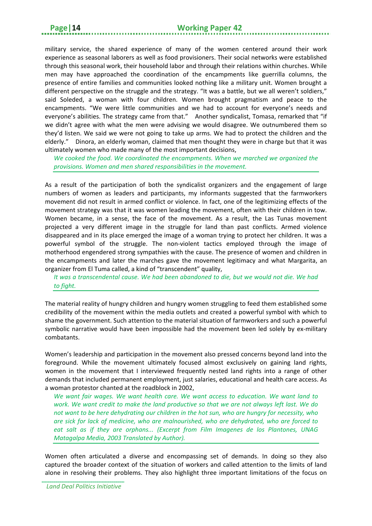military service, the shared experience of many of the women centered around their work experience as seasonal laborers as well as food provisioners. Their social networks were established through this seasonal work, their household labor and through their relations within churches. While men may have approached the coordination of the encampments like guerrilla columns, the presence of entire families and communities looked nothing like a military unit. Women brought a different perspective on the struggle and the strategy. "It was a battle, but we all weren't soldiers," said Soleded, a woman with four children. Women brought pragmatism and peace to the encampments. "We were little communities and we had to account for everyone's needs and everyone's abilities. The strategy came from that." Another syndicalist, Tomasa, remarked that "if we didn't agree with what the men were advising we would disagree. We outnumbered them so they'd listen. We said we were not going to take up arms. We had to protect the children and the elderly." Dinora, an elderly woman, claimed that men thought they were in charge but that it was ultimately women who made many of the most important decisions,

*We cooked the food. We coordinated the encampments. When we marched we organized the provisions. Women and men shared responsibilities in the movement.*

As a result of the participation of both the syndicalist organizers and the engagement of large numbers of women as leaders and participants, my informants suggested that the farmworkers movement did not result in armed conflict or violence. In fact, one of the legitimizing effects of the movement strategy was that it was women leading the movement, often with their children in tow. Women became, in a sense, the face of the movement. As a result, the Las Tunas movement projected a very different image in the struggle for land than past conflicts. Armed violence disappeared and in its place emerged the image of a woman trying to protect her children. It was a powerful symbol of the struggle. The non-violent tactics employed through the image of motherhood engendered strong sympathies with the cause. The presence of women and children in the encampments and later the marches gave the movement legitimacy and what Margarita, an organizer from El Tuma called, a kind of "transcendent" quality,

*It was a transcendental cause. We had been abandoned to die, but we would not die. We had to fight.*

The material reality of hungry children and hungry women struggling to feed them established some credibility of the movement within the media outlets and created a powerful symbol with which to shame the government. Such attention to the material situation of farmworkers and such a powerful symbolic narrative would have been impossible had the movement been led solely by ex-military combatants.

Women's leadership and participation in the movement also pressed concerns beyond land into the foreground. While the movement ultimately focused almost exclusively on gaining land rights, women in the movement that I interviewed frequently nested land rights into a range of other demands that included permanent employment, just salaries, educational and health care access. As a woman protestor chanted at the roadblock in 2002,

*We want fair wages. We want health care. We want access to education. We want land to work. We want credit to make the land productive so that we are not always left last. We do not want to be here dehydrating our children in the hot sun, who are hungry for necessity, who are sick for lack of medicine, who are malnourished, who are dehydrated, who are forced to eat salt as if they are orphans... (Excerpt from Film Imagenes de los Plantones, UNAG Matagalpa Media, 2003 Translated by Author).*

Women often articulated a diverse and encompassing set of demands. In doing so they also captured the broader context of the situation of workers and called attention to the limits of land alone in resolving their problems. They also highlight three important limitations of the focus on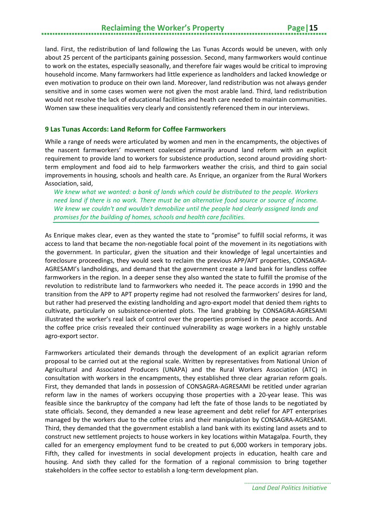land. First, the redistribution of land following the Las Tunas Accords would be uneven, with only about 25 percent of the participants gaining possession. Second, many farmworkers would continue to work on the estates, especially seasonally, and therefore fair wages would be critical to improving household income. Many farmworkers had little experience as landholders and lacked knowledge or even motivation to produce on their own land. Moreover, land redistribution was not always gender sensitive and in some cases women were not given the most arable land. Third, land redistribution would not resolve the lack of educational facilities and heath care needed to maintain communities. Women saw these inequalities very clearly and consistently referenced them in our interviews.

#### <span id="page-18-0"></span>**9 Las Tunas Accords: Land Reform for Coffee Farmworkers**

While a range of needs were articulated by women and men in the encampments, the objectives of the nascent farmworkers' movement coalesced primarily around land reform with an explicit requirement to provide land to workers for subsistence production, second around providing shortterm employment and food aid to help farmworkers weather the crisis, and third to gain social improvements in housing, schools and health care. As Enrique, an organizer from the Rural Workers Association, said,

*We knew what we wanted: a bank of lands which could be distributed to the people. Workers need land if there is no work. There must be an alternative food source or source of income. We knew we couldn't and wouldn't demobilize until the people had clearly assigned lands and promises for the building of homes, schools and health care facilities.*

As Enrique makes clear, even as they wanted the state to "promise" to fulfill social reforms, it was access to land that became the non-negotiable focal point of the movement in its negotiations with the government. In particular, given the situation and their knowledge of legal uncertainties and foreclosure proceedings, they would seek to reclaim the previous APP/APT properties, CONSAGRA-AGRESAMI's landholdings, and demand that the government create a land bank for landless coffee farmworkers in the region. In a deeper sense they also wanted the state to fulfill the promise of the revolution to redistribute land to farmworkers who needed it. The peace accords in 1990 and the transition from the APP to APT property regime had not resolved the farmworkers' desires for land, but rather had preserved the existing landholding and agro-export model that denied them rights to cultivate, particularly on subsistence-oriented plots. The land grabbing by CONSAGRA-AGRESAMI illustrated the worker's real lack of control over the properties promised in the peace accords. And the coffee price crisis revealed their continued vulnerability as wage workers in a highly unstable agro-export sector.

Farmworkers articulated their demands through the development of an explicit agrarian reform proposal to be carried out at the regional scale. Written by representatives from National Union of Agricultural and Associated Producers (UNAPA) and the Rural Workers Association (ATC) in consultation with workers in the encampments, they established three clear agrarian reform goals. First, they demanded that lands in possession of CONSAGRA-AGRESAMI be retitled under agrarian reform law in the names of workers occupying those properties with a 20-year lease. This was feasible since the bankruptcy of the company had left the fate of those lands to be negotiated by state officials. Second, they demanded a new lease agreement and debt relief for APT enterprises managed by the workers due to the coffee crisis and their manipulation by CONSAGRA-AGRESAMI. Third, they demanded that the government establish a land bank with its existing land assets and to construct new settlement projects to house workers in key locations within Matagalpa. Fourth, they called for an emergency employment fund to be created to put 6,000 workers in temporary jobs. Fifth, they called for investments in social development projects in education, health care and housing. And sixth they called for the formation of a regional commission to bring together stakeholders in the coffee sector to establish a long-term development plan.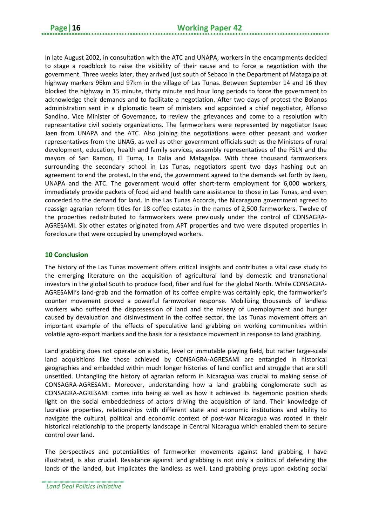In late August 2002, in consultation with the ATC and UNAPA, workers in the encampments decided to stage a roadblock to raise the visibility of their cause and to force a negotiation with the government. Three weeks later, they arrived just south of Sebaco in the Department of Matagalpa at highway markers 96km and 97km in the village of Las Tunas. Between September 14 and 16 they blocked the highway in 15 minute, thirty minute and hour long periods to force the government to acknowledge their demands and to facilitate a negotiation. After two days of protest the Bolanos administration sent in a diplomatic team of ministers and appointed a chief negotiator, Alfonso Sandino, Vice Minister of Governance, to review the grievances and come to a resolution with representative civil society organizations. The farmworkers were represented by negotiator Isaac Jaen from UNAPA and the ATC. Also joining the negotiations were other peasant and worker representatives from the UNAG, as well as other government officials such as the Ministers of rural development, education, health and family services, assembly representatives of the FSLN and the mayors of San Ramon, El Tuma, La Dalia and Matagalpa. With three thousand farmworkers surrounding the secondary school in Las Tunas, negotiators spent two days hashing out an agreement to end the protest. In the end, the government agreed to the demands set forth by Jaen, UNAPA and the ATC. The government would offer short-term employment for 6,000 workers, immediately provide packets of food aid and health care assistance to those in Las Tunas, and even conceded to the demand for land. In the Las Tunas Accords, the Nicaraguan government agreed to reassign agrarian reform titles for 18 coffee estates in the names of 2,500 farmworkers. Twelve of the properties redistributed to farmworkers were previously under the control of CONSAGRA-AGRESAMI. Six other estates originated from APT properties and two were disputed properties in foreclosure that were occupied by unemployed workers.

#### <span id="page-19-0"></span>**10 Conclusion**

The history of the Las Tunas movement offers critical insights and contributes a vital case study to the emerging literature on the acquisition of agricultural land by domestic and transnational investors in the global South to produce food, fiber and fuel for the global North. While CONSAGRA-AGRESAMI's land-grab and the formation of its coffee empire was certainly epic, the farmworker's counter movement proved a powerful farmworker response. Mobilizing thousands of landless workers who suffered the dispossession of land and the misery of unemployment and hunger caused by devaluation and disinvestment in the coffee sector, the Las Tunas movement offers an important example of the effects of speculative land grabbing on working communities within volatile agro-export markets and the basis for a resistance movement in response to land grabbing.

Land grabbing does not operate on a static, level or immutable playing field, but rather large-scale land acquisitions like those achieved by CONSAGRA-AGRESAMI are entangled in historical geographies and embedded within much longer histories of land conflict and struggle that are still unsettled. Untangling the history of agrarian reform in Nicaragua was crucial to making sense of CONSAGRA-AGRESAMI. Moreover, understanding how a land grabbing conglomerate such as CONSAGRA-AGRESAMI comes into being as well as how it achieved its hegemonic position sheds light on the social embeddedness of actors driving the acquisition of land. Their knowledge of lucrative properties, relationships with different state and economic institutions and ability to navigate the cultural, political and economic context of post-war Nicaragua was rooted in their historical relationship to the property landscape in Central Nicaragua which enabled them to secure control over land.

The perspectives and potentialities of farmworker movements against land grabbing, I have illustrated, is also crucial. Resistance against land grabbing is not only a politics of defending the lands of the landed, but implicates the landless as well. Land grabbing preys upon existing social

*Land Deal Politics Initiative*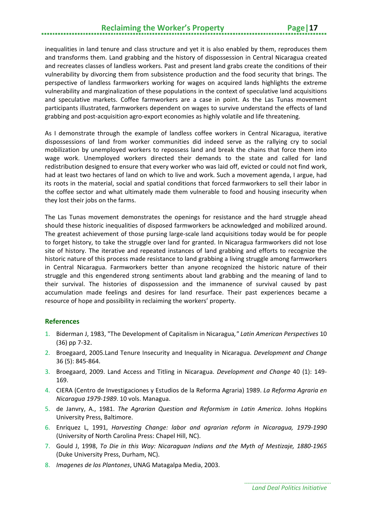# **Reclaiming the Worker's Property Page|17**

inequalities in land tenure and class structure and yet it is also enabled by them, reproduces them and transforms them. Land grabbing and the history of dispossession in Central Nicaragua created and recreates classes of landless workers. Past and present land grabs create the conditions of their vulnerability by divorcing them from subsistence production and the food security that brings. The perspective of landless farmworkers working for wages on acquired lands highlights the extreme vulnerability and marginalization of these populations in the context of speculative land acquisitions and speculative markets. Coffee farmworkers are a case in point. As the Las Tunas movement participants illustrated, farmworkers dependent on wages to survive understand the effects of land grabbing and post-acquisition agro-export economies as highly volatile and life threatening.

As I demonstrate through the example of landless coffee workers in Central Nicaragua, iterative dispossessions of land from worker communities did indeed serve as the rallying cry to social mobilization by unemployed workers to repossess land and break the chains that force them into wage work. Unemployed workers directed their demands to the state and called for land redistribution designed to ensure that every worker who was laid off, evicted or could not find work, had at least two hectares of land on which to live and work. Such a movement agenda, I argue, had its roots in the material, social and spatial conditions that forced farmworkers to sell their labor in the coffee sector and what ultimately made them vulnerable to food and housing insecurity when they lost their jobs on the farms.

The Las Tunas movement demonstrates the openings for resistance and the hard struggle ahead should these historic inequalities of disposed farmworkers be acknowledged and mobilized around. The greatest achievement of those pursing large-scale land acquisitions today would be for people to forget history, to take the struggle over land for granted. In Nicaragua farmworkers did not lose site of history. The iterative and repeated instances of land grabbing and efforts to recognize the historic nature of this process made resistance to land grabbing a living struggle among farmworkers in Central Nicaragua. Farmworkers better than anyone recognized the historic nature of their struggle and this engendered strong sentiments about land grabbing and the meaning of land to their survival. The histories of dispossession and the immanence of survival caused by past accumulation made feelings and desires for land resurface. Their past experiences became a resource of hope and possibility in reclaiming the workers' property.

#### <span id="page-20-0"></span>**References**

- 1. Biderman J, 1983, "The Development of Capitalism in Nicaragua*," Latin American Perspectives* 10 (36) pp 7-32.
- 2. Broegaard, 2005.Land Tenure Insecurity and Inequality in Nicaragua. *Development and Change* 36 (5): 845-864.
- 3. Broegaard, 2009. Land Access and Titling in Nicaragua. *Development and Change* 40 (1): 149- 169.
- 4. CIERA (Centro de Investigaciones y Estudios de la Reforma Agraria) 1989. *La Reforma Agraria en Nicaragua 1979-1989*. 10 vols. Managua.
- 5. de Janvry, A., 1981. *The Agrarian Question and Reformism in Latin America*. Johns Hopkins University Press, Baltimore.
- 6. Enriquez L, 1991, *Harvesting Change: labor and agrarian reform in Nicaragua, 1979-1990* (University of North Carolina Press: Chapel Hill, NC).
- 7. Gould J, 1998, *To Die in this Way: Nicaraguan Indians and the Myth of Mestizaje, 1880-1965* (Duke University Press, Durham, NC).
- 8. *Imagenes de los Plantones*, UNAG Matagalpa Media, 2003.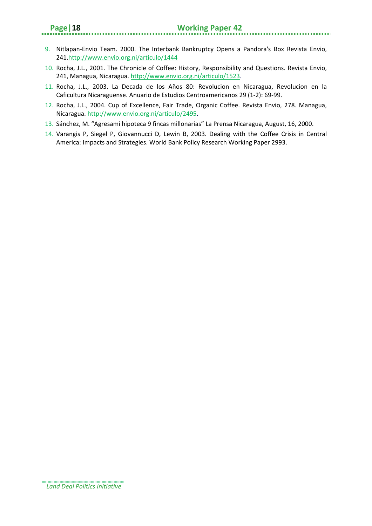- 9. Nitlapan-Envio Team. 2000. [The Interbank Bankruptcy Opens a Pandora's Box](http://www.envio.org.ni/articulo/1444) Revista Envio, 241[.http://www.envio.org.ni/articulo/1444](http://www.envio.org.ni/articulo/1444)
- 10. Rocha, J.L., 2001. The Chronicle of Coffee: History, Responsibility and Questions. Revista Envio, 241, Managua, Nicaragua. [http://www.envio.org.ni/articulo/1](http://www.envio.org.ni/articulo/)523.
- 11. Rocha, J.L., 2003. La Decada de los Años 80: Revolucion en Nicaragua, Revolucion en la Caficultura Nicaraguense. Anuario de Estudios Centroamericanos 29 (1-2): 69-99.
- 12. Rocha, J.L., 2004. Cup of Excellence, Fair Trade, Organic Coffee. Revista Envio, 278. Managua, Nicaragua. [http://www.envio.org.ni/articulo/2495.](http://www.envio.org.ni/articulo/2495)
- 13. Sánchez, M. "Agresami hipoteca 9 fincas millonarias" La Prensa Nicaragua, August, 16, 2000.
- 14. Varangis P, Siegel P, Giovannucci D, Lewin B, 2003. Dealing with the Coffee Crisis in Central America: Impacts and Strategies. World Bank Policy Research Working Paper 2993.